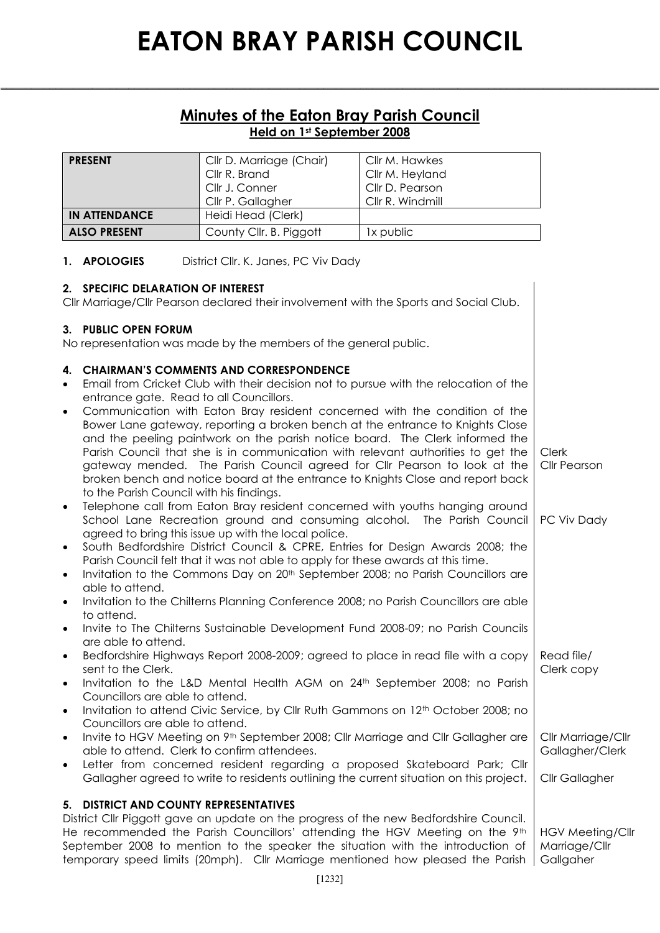### **Minutes of the Eaton Bray Parish Council Held on 1st September 2008**

**\_\_\_\_\_\_\_\_\_\_\_\_\_\_\_\_\_\_\_\_\_\_\_\_\_\_\_\_\_\_\_\_\_\_\_\_\_\_\_\_\_\_\_\_\_\_\_\_\_\_\_\_\_\_\_\_\_\_\_\_\_\_\_\_\_\_\_\_\_\_\_\_\_\_\_\_\_\_\_\_\_\_\_\_\_\_\_\_\_\_\_\_\_\_\_\_\_\_\_\_\_\_\_\_\_\_\_\_**

| <b>PRESENT</b>       | Cllr D. Marriage (Chair)<br>Cllr R. Brand<br>Cllr J. Conner<br>Cllr P. Gallagher | Cllr M. Hawkes<br>Cllr M. Heyland<br>Cllr D. Pearson<br>Cllr R. Windmill |
|----------------------|----------------------------------------------------------------------------------|--------------------------------------------------------------------------|
| <b>IN ATTENDANCE</b> | Heidi Head (Clerk)                                                               |                                                                          |
| <b>ALSO PRESENT</b>  | County Cllr. B. Piggott                                                          | 1x public                                                                |

#### **1. APOLOGIES** District Cllr. K. Janes, PC Viv Dady

#### **2. SPECIFIC DELARATION OF INTEREST**

Cllr Marriage/Cllr Pearson declared their involvement with the Sports and Social Club.

#### **3. PUBLIC OPEN FORUM**

No representation was made by the members of the general public.

#### **4. CHAIRMAN'S COMMENTS AND CORRESPONDENCE**

- Email from Cricket Club with their decision not to pursue with the relocation of the entrance gate. Read to all Councillors.
- Communication with Eaton Bray resident concerned with the condition of the Bower Lane gateway, reporting a broken bench at the entrance to Knights Close and the peeling paintwork on the parish notice board. The Clerk informed the Parish Council that she is in communication with relevant authorities to get the gateway mended. The Parish Council agreed for Cllr Pearson to look at the broken bench and notice board at the entrance to Knights Close and report back to the Parish Council with his findings. Clerk Cllr Pearson
- Telephone call from Eaton Bray resident concerned with youths hanging around School Lane Recreation ground and consuming alcohol. The Parish Council agreed to bring this issue up with the local police. PC Viv Dady
- South Bedfordshire District Council & CPRE, Entries for Design Awards 2008; the Parish Council felt that it was not able to apply for these awards at this time.
- Invitation to the Commons Day on 20<sup>th</sup> September 2008; no Parish Councillors are able to attend.
- Invitation to the Chilterns Planning Conference 2008; no Parish Councillors are able to attend.
- Invite to The Chilterns Sustainable Development Fund 2008-09; no Parish Councils are able to attend.
- Bedfordshire Highways Report 2008-2009; agreed to place in read file with a copy sent to the Clerk. Read file/ Clerk copy
- Invitation to the L&D Mental Health AGM on 24<sup>th</sup> September 2008; no Parish Councillors are able to attend.
- Invitation to attend Civic Service, by Cllr Ruth Gammons on  $12<sup>th</sup>$  October 2008; no Councillors are able to attend.
- Invite to HGV Meeting on 9<sup>th</sup> September 2008; Cllr Marriage and Cllr Gallagher are able to attend. Clerk to confirm attendees. Cllr Marriage/Cllr Gallagher/Clerk
- Letter from concerned resident regarding a proposed Skateboard Park; Cllr Gallagher agreed to write to residents outlining the current situation on this project. Cllr Gallagher

#### **5. DISTRICT AND COUNTY REPRESENTATIVES**

District Cllr Piggott gave an update on the progress of the new Bedfordshire Council. He recommended the Parish Councillors' attending the HGV Meeting on the 9<sup>th</sup> September 2008 to mention to the speaker the situation with the introduction of temporary speed limits (20mph). Cllr Marriage mentioned how pleased the Parish HGV Meeting/Cllr Marriage/Cllr **Gallgaher**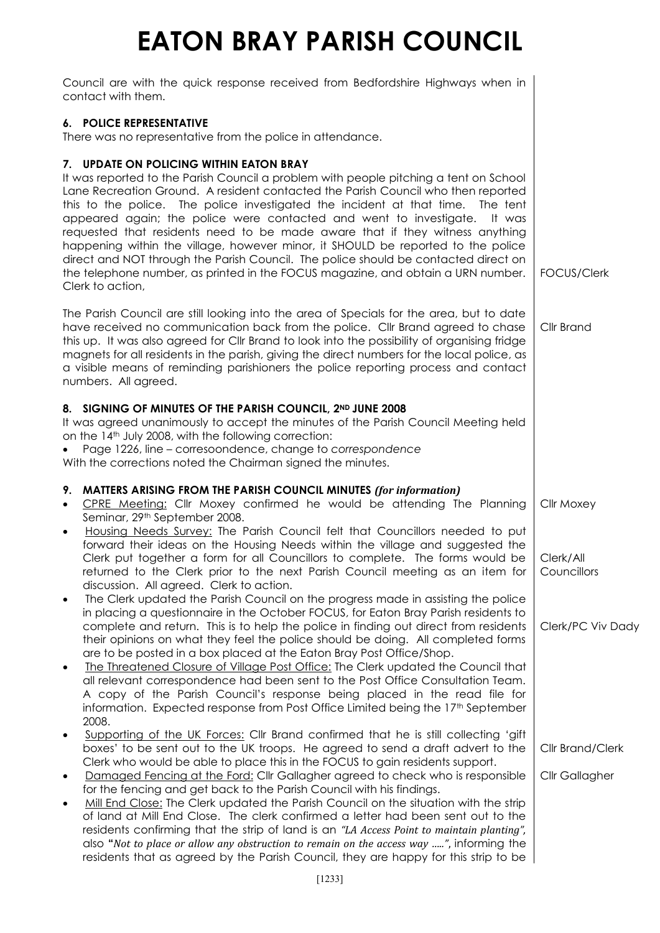| Council are with the quick response received from Bedfordshire Highways when in<br>contact with them.                                                                                                                                                                                                                                                                                                                                                                                                                                                                                                                                                                                                                                                       |                                    |
|-------------------------------------------------------------------------------------------------------------------------------------------------------------------------------------------------------------------------------------------------------------------------------------------------------------------------------------------------------------------------------------------------------------------------------------------------------------------------------------------------------------------------------------------------------------------------------------------------------------------------------------------------------------------------------------------------------------------------------------------------------------|------------------------------------|
| 6. POLICE REPRESENTATIVE<br>There was no representative from the police in attendance.                                                                                                                                                                                                                                                                                                                                                                                                                                                                                                                                                                                                                                                                      |                                    |
| 7. UPDATE ON POLICING WITHIN EATON BRAY<br>It was reported to the Parish Council a problem with people pitching a tent on School<br>Lane Recreation Ground. A resident contacted the Parish Council who then reported<br>this to the police. The police investigated the incident at that time. The tent<br>appeared again; the police were contacted and went to investigate.<br>It was<br>requested that residents need to be made aware that if they witness anything<br>happening within the village, however minor, it SHOULD be reported to the police<br>direct and NOT through the Parish Council. The police should be contacted direct on<br>the telephone number, as printed in the FOCUS magazine, and obtain a URN number.<br>Clerk to action, | FOCUS/Clerk                        |
| The Parish Council are still looking into the area of Specials for the area, but to date<br>have received no communication back from the police. Cllr Brand agreed to chase<br>this up. It was also agreed for CIIr Brand to look into the possibility of organising fridge<br>magnets for all residents in the parish, giving the direct numbers for the local police, as<br>a visible means of reminding parishioners the police reporting process and contact<br>numbers. All agreed.                                                                                                                                                                                                                                                                    | Cllr Brand                         |
| 8. SIGNING OF MINUTES OF THE PARISH COUNCIL, 2ND JUNE 2008<br>It was agreed unanimously to accept the minutes of the Parish Council Meeting held<br>on the 14 <sup>th</sup> July 2008, with the following correction:<br>Page 1226, line - corresoondence, change to correspondence<br>With the corrections noted the Chairman signed the minutes.                                                                                                                                                                                                                                                                                                                                                                                                          |                                    |
| 9. MATTERS ARISING FROM THE PARISH COUNCIL MINUTES (for information)<br>CPRE Meeting: Cllr Moxey confirmed he would be attending The Planning<br>$\bullet$<br>Seminar, 29th September 2008.                                                                                                                                                                                                                                                                                                                                                                                                                                                                                                                                                                 | <b>Cllr Moxey</b>                  |
| Housing Needs Survey: The Parish Council felt that Councillors needed to put<br>$\bullet$<br>forward their ideas on the Housing Needs within the village and suggested the<br>Clerk put together a form for all Councillors to complete. The forms would be<br>returned to the Clerk prior to the next Parish Council meeting as an item for<br>discussion. All agreed. Clerk to action.<br>The Clerk updated the Parish Council on the progress made in assisting the police<br>$\bullet$<br>in placing a questionnaire in the October FOCUS, for Eaton Bray Parish residents to                                                                                                                                                                           | Clerk/All<br>Councillors           |
| complete and return. This is to help the police in finding out direct from residents<br>their opinions on what they feel the police should be doing. All completed forms<br>are to be posted in a box placed at the Eaton Bray Post Office/Shop.<br>The Threatened Closure of Village Post Office: The Clerk updated the Council that<br>$\bullet$<br>all relevant correspondence had been sent to the Post Office Consultation Team.<br>A copy of the Parish Council's response being placed in the read file for<br>information. Expected response from Post Office Limited being the 17 <sup>th</sup> September                                                                                                                                          | Clerk/PC Viv Dady                  |
| 2008.<br>Supporting of the UK Forces: Cllr Brand confirmed that he is still collecting 'gift<br>$\bullet$<br>boxes' to be sent out to the UK troops. He agreed to send a draft advert to the<br>Clerk who would be able to place this in the FOCUS to gain residents support.<br>Damaged Fencing at the Ford: Cllr Gallagher agreed to check who is responsible<br>$\bullet$<br>for the fencing and get back to the Parish Council with his findings.                                                                                                                                                                                                                                                                                                       | Cllr Brand/Clerk<br>Cllr Gallagher |
| Mill End Close: The Clerk updated the Parish Council on the situation with the strip<br>$\bullet$<br>of land at Mill End Close. The clerk confirmed a letter had been sent out to the<br>residents confirming that the strip of land is an "LA Access Point to maintain planting",<br>also "Not to place or allow any obstruction to remain on the access way ", informing the<br>residents that as agreed by the Parish Council, they are happy for this strip to be                                                                                                                                                                                                                                                                                       |                                    |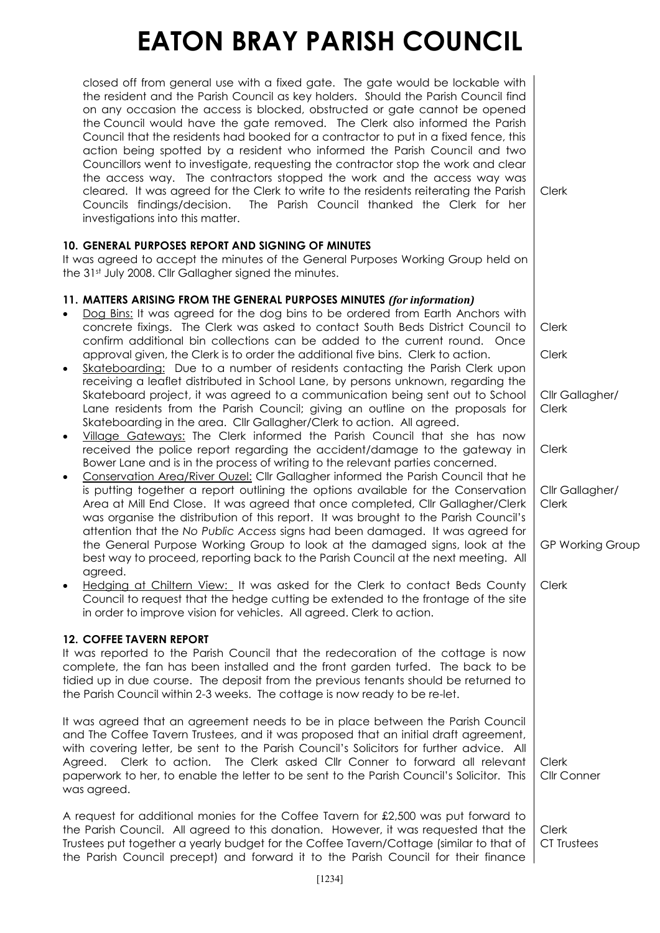| closed off from general use with a fixed gate. The gate would be lockable with<br>the resident and the Parish Council as key holders. Should the Parish Council find<br>on any occasion the access is blocked, obstructed or gate cannot be opened<br>the Council would have the gate removed. The Clerk also informed the Parish<br>Council that the residents had booked for a contractor to put in a fixed fence, this<br>action being spotted by a resident who informed the Parish Council and two<br>Councillors went to investigate, requesting the contractor stop the work and clear<br>the access way. The contractors stopped the work and the access way was<br>cleared. It was agreed for the Clerk to write to the residents reiterating the Parish<br>The Parish Council thanked the Clerk for her<br>Councils findings/decision.<br>investigations into this matter.                                                                                                                                                                                                                                                                                                                                                                                                                                                                                                                                                                                                                                                                                                                                                                                                                                                                                                                                                                                                                                                                                                   | Clerk                                                                                                                      |
|----------------------------------------------------------------------------------------------------------------------------------------------------------------------------------------------------------------------------------------------------------------------------------------------------------------------------------------------------------------------------------------------------------------------------------------------------------------------------------------------------------------------------------------------------------------------------------------------------------------------------------------------------------------------------------------------------------------------------------------------------------------------------------------------------------------------------------------------------------------------------------------------------------------------------------------------------------------------------------------------------------------------------------------------------------------------------------------------------------------------------------------------------------------------------------------------------------------------------------------------------------------------------------------------------------------------------------------------------------------------------------------------------------------------------------------------------------------------------------------------------------------------------------------------------------------------------------------------------------------------------------------------------------------------------------------------------------------------------------------------------------------------------------------------------------------------------------------------------------------------------------------------------------------------------------------------------------------------------------------|----------------------------------------------------------------------------------------------------------------------------|
| <b>10. GENERAL PURPOSES REPORT AND SIGNING OF MINUTES</b><br>It was agreed to accept the minutes of the General Purposes Working Group held on<br>the 31st July 2008. Cllr Gallagher signed the minutes.                                                                                                                                                                                                                                                                                                                                                                                                                                                                                                                                                                                                                                                                                                                                                                                                                                                                                                                                                                                                                                                                                                                                                                                                                                                                                                                                                                                                                                                                                                                                                                                                                                                                                                                                                                               |                                                                                                                            |
| 11. MATTERS ARISING FROM THE GENERAL PURPOSES MINUTES (for information)<br>Dog Bins: It was agreed for the dog bins to be ordered from Earth Anchors with<br>concrete fixings. The Clerk was asked to contact South Beds District Council to<br>confirm additional bin collections can be added to the current round. Once<br>approval given, the Clerk is to order the additional five bins. Clerk to action.<br>Skateboarding: Due to a number of residents contacting the Parish Clerk upon<br>$\bullet$<br>receiving a leaflet distributed in School Lane, by persons unknown, regarding the<br>Skateboard project, it was agreed to a communication being sent out to School<br>Lane residents from the Parish Council; giving an outline on the proposals for<br>Skateboarding in the area. Cllr Gallagher/Clerk to action. All agreed.<br>Village Gateways: The Clerk informed the Parish Council that she has now<br>$\bullet$<br>received the police report regarding the accident/damage to the gateway in<br>Bower Lane and is in the process of writing to the relevant parties concerned.<br>Conservation Area/River Ouzel: Cllr Gallagher informed the Parish Council that he<br>$\bullet$<br>is putting together a report outlining the options available for the Conservation<br>Area at Mill End Close. It was agreed that once completed, Cllr Gallagher/Clerk<br>was organise the distribution of this report. It was brought to the Parish Council's<br>attention that the No Public Access signs had been damaged. It was agreed for<br>the General Purpose Working Group to look at the damaged signs, look at the<br>best way to proceed, reporting back to the Parish Council at the next meeting. All<br>agreed.<br>Hedging at Chiltern View: It was asked for the Clerk to contact Beds County<br>Council to request that the hedge cutting be extended to the frontage of the site<br>in order to improve vision for vehicles. All agreed. Clerk to action. | Clerk<br>Clerk<br>Cllr Gallagher/<br><b>Clerk</b><br>Clerk<br>Cllr Gallagher/<br>Clerk<br><b>GP Working Group</b><br>Clerk |
| <b>12. COFFEE TAVERN REPORT</b><br>It was reported to the Parish Council that the redecoration of the cottage is now<br>complete, the fan has been installed and the front garden turfed. The back to be<br>tidied up in due course. The deposit from the previous tenants should be returned to<br>the Parish Council within 2-3 weeks. The cottage is now ready to be re-let.                                                                                                                                                                                                                                                                                                                                                                                                                                                                                                                                                                                                                                                                                                                                                                                                                                                                                                                                                                                                                                                                                                                                                                                                                                                                                                                                                                                                                                                                                                                                                                                                        |                                                                                                                            |
| It was agreed that an agreement needs to be in place between the Parish Council<br>and The Coffee Tavern Trustees, and it was proposed that an initial draft agreement,<br>with covering letter, be sent to the Parish Council's Solicitors for further advice. All<br>Agreed. Clerk to action. The Clerk asked Cllr Conner to forward all relevant<br>paperwork to her, to enable the letter to be sent to the Parish Council's Solicitor. This<br>was agreed.                                                                                                                                                                                                                                                                                                                                                                                                                                                                                                                                                                                                                                                                                                                                                                                                                                                                                                                                                                                                                                                                                                                                                                                                                                                                                                                                                                                                                                                                                                                        | Clerk<br>Cllr Conner                                                                                                       |
| A request for additional monies for the Coffee Tavern for £2,500 was put forward to<br>the Parish Council. All agreed to this donation. However, it was requested that the<br>Trustees put together a yearly budget for the Coffee Tavern/Cottage (similar to that of<br>the Parish Council precept) and forward it to the Parish Council for their finance                                                                                                                                                                                                                                                                                                                                                                                                                                                                                                                                                                                                                                                                                                                                                                                                                                                                                                                                                                                                                                                                                                                                                                                                                                                                                                                                                                                                                                                                                                                                                                                                                            | <b>Clerk</b><br>CT Trustees                                                                                                |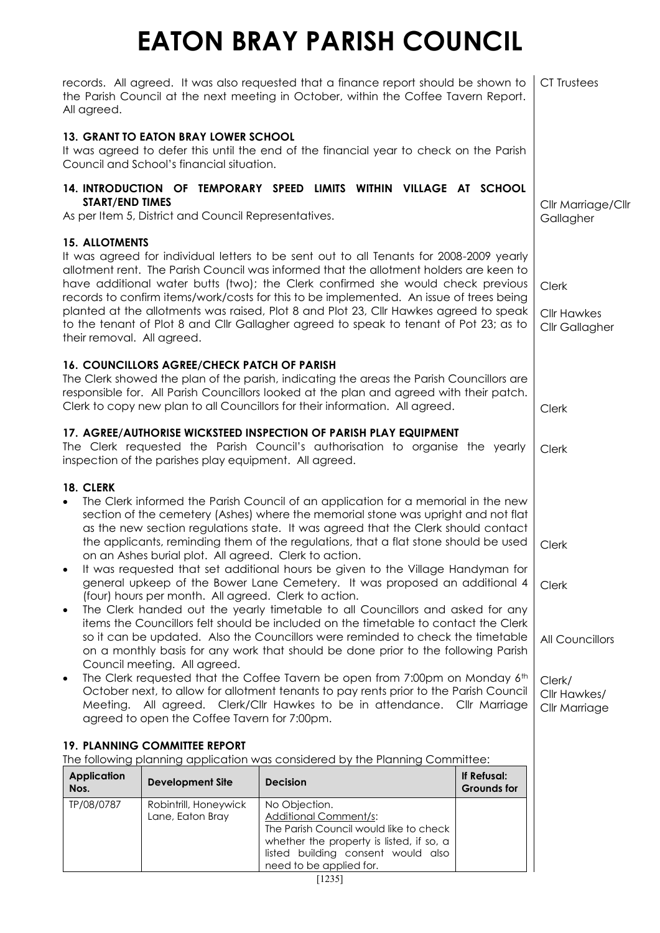| records. All agreed. It was also requested that a finance report should be shown to<br>the Parish Council at the next meeting in October, within the Coffee Tavern Report.<br>All agreed.                                                                                                                                                                                                                                                                                                                                                                                                                                                                                                                                                                                                                                                                                                                                                                                                                                                                                                                                                                                                                                                                                                                                                                                                                               | CT Trustees                                                                              |                                                                                                 |                                   |                                 |
|-------------------------------------------------------------------------------------------------------------------------------------------------------------------------------------------------------------------------------------------------------------------------------------------------------------------------------------------------------------------------------------------------------------------------------------------------------------------------------------------------------------------------------------------------------------------------------------------------------------------------------------------------------------------------------------------------------------------------------------------------------------------------------------------------------------------------------------------------------------------------------------------------------------------------------------------------------------------------------------------------------------------------------------------------------------------------------------------------------------------------------------------------------------------------------------------------------------------------------------------------------------------------------------------------------------------------------------------------------------------------------------------------------------------------|------------------------------------------------------------------------------------------|-------------------------------------------------------------------------------------------------|-----------------------------------|---------------------------------|
|                                                                                                                                                                                                                                                                                                                                                                                                                                                                                                                                                                                                                                                                                                                                                                                                                                                                                                                                                                                                                                                                                                                                                                                                                                                                                                                                                                                                                         | <b>13. GRANT TO EATON BRAY LOWER SCHOOL</b><br>Council and School's financial situation. | It was agreed to defer this until the end of the financial year to check on the Parish          |                                   |                                 |
| <b>START/END TIMES</b>                                                                                                                                                                                                                                                                                                                                                                                                                                                                                                                                                                                                                                                                                                                                                                                                                                                                                                                                                                                                                                                                                                                                                                                                                                                                                                                                                                                                  | As per Item 5, District and Council Representatives.                                     | 14. INTRODUCTION OF TEMPORARY SPEED LIMITS WITHIN VILLAGE AT SCHOOL                             |                                   | Cllr Marriage/Cllr<br>Gallagher |
| <b>15. ALLOTMENTS</b><br>It was agreed for individual letters to be sent out to all Tenants for 2008-2009 yearly<br>allotment rent. The Parish Council was informed that the allotment holders are keen to<br>have additional water butts (two); the Clerk confirmed she would check previous<br>records to confirm items/work/costs for this to be implemented. An issue of trees being<br>planted at the allotments was raised, Plot 8 and Plot 23, Cllr Hawkes agreed to speak<br>to the tenant of Plot 8 and Cllr Gallagher agreed to speak to tenant of Pot 23; as to<br>their removal. All agreed.                                                                                                                                                                                                                                                                                                                                                                                                                                                                                                                                                                                                                                                                                                                                                                                                                | Clerk<br><b>Cllr Hawkes</b><br>Cllr Gallagher                                            |                                                                                                 |                                   |                                 |
| 16. COUNCILLORS AGREE/CHECK PATCH OF PARISH<br>The Clerk showed the plan of the parish, indicating the areas the Parish Councillors are<br>responsible for. All Parish Councillors looked at the plan and agreed with their patch.<br>Clerk to copy new plan to all Councillors for their information. All agreed.                                                                                                                                                                                                                                                                                                                                                                                                                                                                                                                                                                                                                                                                                                                                                                                                                                                                                                                                                                                                                                                                                                      |                                                                                          |                                                                                                 |                                   | Clerk                           |
| 17. AGREE/AUTHORISE WICKSTEED INSPECTION OF PARISH PLAY EQUIPMENT<br>The Clerk requested the Parish Council's authorisation to organise the yearly<br>inspection of the parishes play equipment. All agreed.                                                                                                                                                                                                                                                                                                                                                                                                                                                                                                                                                                                                                                                                                                                                                                                                                                                                                                                                                                                                                                                                                                                                                                                                            |                                                                                          |                                                                                                 |                                   | Clerk                           |
| 18. CLERK<br>The Clerk informed the Parish Council of an application for a memorial in the new<br>$\bullet$<br>section of the cemetery (Ashes) where the memorial stone was upright and not flat<br>as the new section regulations state. It was agreed that the Clerk should contact<br>the applicants, reminding them of the regulations, that a flat stone should be used<br>on an Ashes burial plot. All agreed. Clerk to action.<br>It was requested that set additional hours be given to the Village Handyman for<br>general upkeep of the Bower Lane Cemetery. It was proposed an additional 4<br>(four) hours per month. All agreed. Clerk to action.<br>The Clerk handed out the yearly timetable to all Councillors and asked for any<br>$\bullet$<br>items the Councillors felt should be included on the timetable to contact the Clerk<br>so it can be updated. Also the Councillors were reminded to check the timetable<br>on a monthly basis for any work that should be done prior to the following Parish<br>Council meeting. All agreed.<br>The Clerk requested that the Coffee Tavern be open from 7:00pm on Monday 6th<br>$\bullet$<br>October next, to allow for allotment tenants to pay rents prior to the Parish Council<br>Meeting. All agreed. Clerk/Cllr Hawkes to be in attendance. Cllr Marriage<br>agreed to open the Coffee Tavern for 7:00pm.<br><b>19. PLANNING COMMITTEE REPORT</b> | Clerk<br>Clerk<br>All Councillors<br>Clerk/<br>Cllr Hawkes/<br>Cllr Marriage             |                                                                                                 |                                   |                                 |
| <b>Application</b><br>Nos.                                                                                                                                                                                                                                                                                                                                                                                                                                                                                                                                                                                                                                                                                                                                                                                                                                                                                                                                                                                                                                                                                                                                                                                                                                                                                                                                                                                              | <b>Development Site</b>                                                                  | The following planning application was considered by the Planning Committee:<br><b>Decision</b> | If Refusal:<br><b>Grounds for</b> |                                 |
| TP/08/0787                                                                                                                                                                                                                                                                                                                                                                                                                                                                                                                                                                                                                                                                                                                                                                                                                                                                                                                                                                                                                                                                                                                                                                                                                                                                                                                                                                                                              | Robintrill, Honeywick<br>Lane, Eaton Bray                                                | No Objection.<br>Additional Comment/s:<br>The Parish Council would like to check                |                                   |                                 |

whether the property is listed, if so, a listed building consent would also